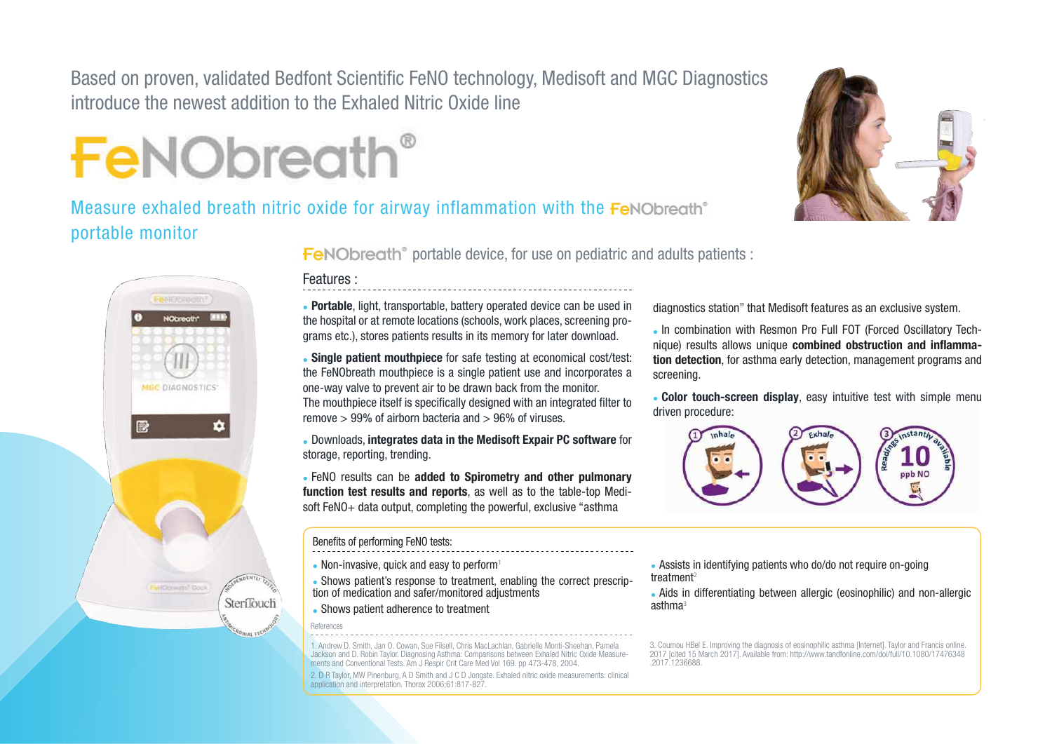Based on proven, validated Bedfont Scientific FeNO technology, Medisoft and MGC Diagnostics introduce the newest addition to the Exhaled Nitric Oxide line



Measure exhaled breath nitric oxide for airway inflammation with the FeNObreath<sup>®</sup> portable monitor





**FeNO breath**<sup>®</sup> portable device, for use on pediatric and adults patients :

## Features :

• Portable, light, transportable, battery operated device can be used in the hospital or at remote locations (schools, work places, screening programs etc.), stores patients results in its memory for later download.

• Single patient mouthpiece for safe testing at economical cost/test: the FeNObreath mouthpiece is a single patient use and incorporates a one-way valve to prevent air to be drawn back from the monitor. The mouthpiece itself is specifically designed with an integrated filter to remove > 99% of airborn bacteria and > 96% of viruses.

• Downloads, integrates data in the Medisoft Expair PC software for storage, reporting, trending.

• FeNO results can be added to Spirometry and other pulmonary function test results and reports, as well as to the table-top Medisoft FeNO+ data output, completing the powerful, exclusive "asthma

#### Benefits of performing FeNO tests:

- Non-invasive, quick and easy to perform<sup>1</sup>
- Shows patient's response to treatment, enabling the correct prescription of medication and safer/monitored adjustments
- Shows patient adherence to treatment

References

1. Andrew D. Smith, Jan O. Cowan, Sue Filsell, Chris MacLachlan, Gabrielle Monti-Sheehan, Pamela Jackson and D. Robin Taylor. Diagnosing Asthma: Comparisons between Exhaled Nitric Oxide Measure-ments and Conventional Tests. Am J Respir Crit Care Med Vol 169. pp 473-478, 2004.

2. D R Taylor, MW Pinenburg, A D Smith and J C D Jongste. Exhaled nitric oxide measurements: clinical application and interpretation. Thorax 2006;61:817-827.

diagnostics station" that Medisoft features as an exclusive system.

• In combination with Resmon Pro Full FOT (Forced Oscillatory Technique) results allows unique **combined obstruction and inflamma**tion detection, for asthma early detection, management programs and screening.

• Color touch-screen display, easy intuitive test with simple menu driven procedure:



• Assists in identifying patients who do/do not require on-going treatment<sup>2</sup>

• Aids in differentiating between allergic (eosinophilic) and non-allergic asthma<sup>3</sup>

3. Coumou HBel E. Improving the diagnosis of eosinophilic asthma [Internet]. Taylor and Francis online. 2017 [cited 15 March 2017]. Available from: http://www.tandfonline.com/doi/full/10.1080/17476348 .2017.1236688.